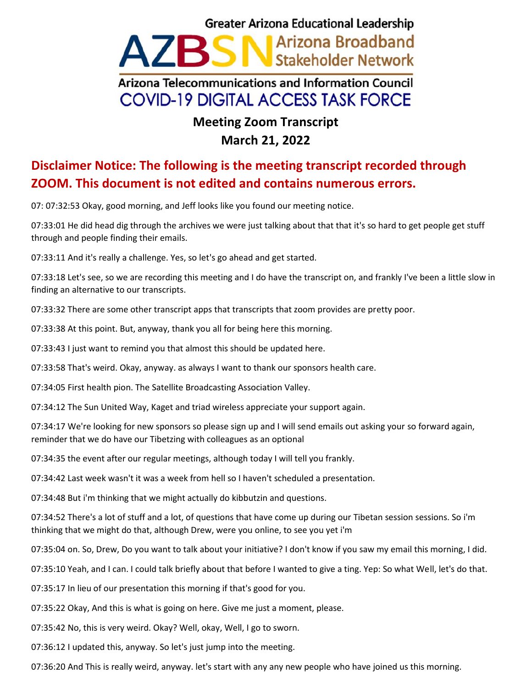## **Greater Arizona Educational Leadership** Arizona Broadband A/BS Stakeholder Network Arizona Telecommunications and Information Council **COVID-19 DIGITAL ACCESS TASK FORCE**

## **Meeting Zoom Transcript March 21, 2022**

## **Disclaimer Notice: The following is the meeting transcript recorded through ZOOM. This document is not edited and contains numerous errors.**

07: 07:32:53 Okay, good morning, and Jeff looks like you found our meeting notice.

07:33:01 He did head dig through the archives we were just talking about that that it's so hard to get people get stuff through and people finding their emails.

07:33:11 And it's really a challenge. Yes, so let's go ahead and get started.

07:33:18 Let's see, so we are recording this meeting and I do have the transcript on, and frankly I've been a little slow in finding an alternative to our transcripts.

07:33:32 There are some other transcript apps that transcripts that zoom provides are pretty poor.

07:33:38 At this point. But, anyway, thank you all for being here this morning.

07:33:43 I just want to remind you that almost this should be updated here.

07:33:58 That's weird. Okay, anyway. as always I want to thank our sponsors health care.

07:34:05 First health pion. The Satellite Broadcasting Association Valley.

07:34:12 The Sun United Way, Kaget and triad wireless appreciate your support again.

07:34:17 We're looking for new sponsors so please sign up and I will send emails out asking your so forward again, reminder that we do have our Tibetzing with colleagues as an optional

07:34:35 the event after our regular meetings, although today I will tell you frankly.

07:34:42 Last week wasn't it was a week from hell so I haven't scheduled a presentation.

07:34:48 But i'm thinking that we might actually do kibbutzin and questions.

07:34:52 There's a lot of stuff and a lot, of questions that have come up during our Tibetan session sessions. So i'm thinking that we might do that, although Drew, were you online, to see you yet i'm

07:35:04 on. So, Drew, Do you want to talk about your initiative? I don't know if you saw my email this morning, I did.

07:35:10 Yeah, and I can. I could talk briefly about that before I wanted to give a ting. Yep: So what Well, let's do that.

07:35:17 In lieu of our presentation this morning if that's good for you.

07:35:22 Okay, And this is what is going on here. Give me just a moment, please.

07:35:42 No, this is very weird. Okay? Well, okay, Well, I go to sworn.

07:36:12 I updated this, anyway. So let's just jump into the meeting.

07:36:20 And This is really weird, anyway. let's start with any any new people who have joined us this morning.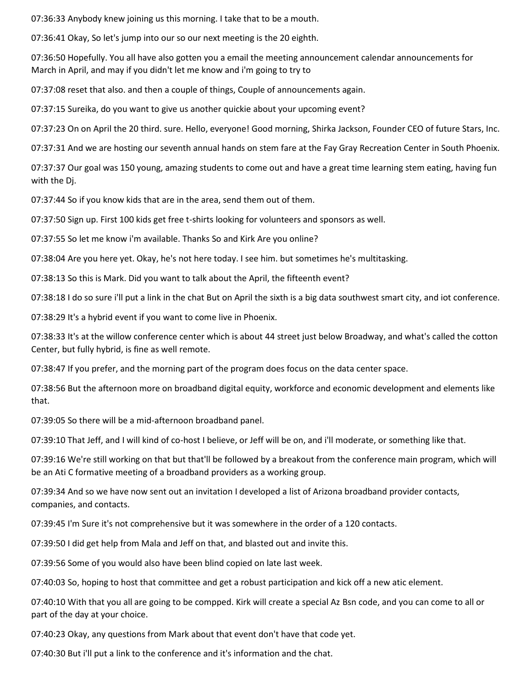07:36:33 Anybody knew joining us this morning. I take that to be a mouth.

07:36:41 Okay, So let's jump into our so our next meeting is the 20 eighth.

07:36:50 Hopefully. You all have also gotten you a email the meeting announcement calendar announcements for March in April, and may if you didn't let me know and i'm going to try to

07:37:08 reset that also. and then a couple of things, Couple of announcements again.

07:37:15 Sureika, do you want to give us another quickie about your upcoming event?

07:37:23 On on April the 20 third. sure. Hello, everyone! Good morning, Shirka Jackson, Founder CEO of future Stars, Inc.

07:37:31 And we are hosting our seventh annual hands on stem fare at the Fay Gray Recreation Center in South Phoenix.

07:37:37 Our goal was 150 young, amazing students to come out and have a great time learning stem eating, having fun with the Dj.

07:37:44 So if you know kids that are in the area, send them out of them.

07:37:50 Sign up. First 100 kids get free t-shirts looking for volunteers and sponsors as well.

07:37:55 So let me know i'm available. Thanks So and Kirk Are you online?

07:38:04 Are you here yet. Okay, he's not here today. I see him. but sometimes he's multitasking.

07:38:13 So this is Mark. Did you want to talk about the April, the fifteenth event?

07:38:18 I do so sure i'll put a link in the chat But on April the sixth is a big data southwest smart city, and iot conference.

07:38:29 It's a hybrid event if you want to come live in Phoenix.

07:38:33 It's at the willow conference center which is about 44 street just below Broadway, and what's called the cotton Center, but fully hybrid, is fine as well remote.

07:38:47 If you prefer, and the morning part of the program does focus on the data center space.

07:38:56 But the afternoon more on broadband digital equity, workforce and economic development and elements like that.

07:39:05 So there will be a mid-afternoon broadband panel.

07:39:10 That Jeff, and I will kind of co-host I believe, or Jeff will be on, and i'll moderate, or something like that.

07:39:16 We're still working on that but that'll be followed by a breakout from the conference main program, which will be an Ati C formative meeting of a broadband providers as a working group.

07:39:34 And so we have now sent out an invitation I developed a list of Arizona broadband provider contacts, companies, and contacts.

07:39:45 I'm Sure it's not comprehensive but it was somewhere in the order of a 120 contacts.

07:39:50 I did get help from Mala and Jeff on that, and blasted out and invite this.

07:39:56 Some of you would also have been blind copied on late last week.

07:40:03 So, hoping to host that committee and get a robust participation and kick off a new atic element.

07:40:10 With that you all are going to be compped. Kirk will create a special Az Bsn code, and you can come to all or part of the day at your choice.

07:40:23 Okay, any questions from Mark about that event don't have that code yet.

07:40:30 But i'll put a link to the conference and it's information and the chat.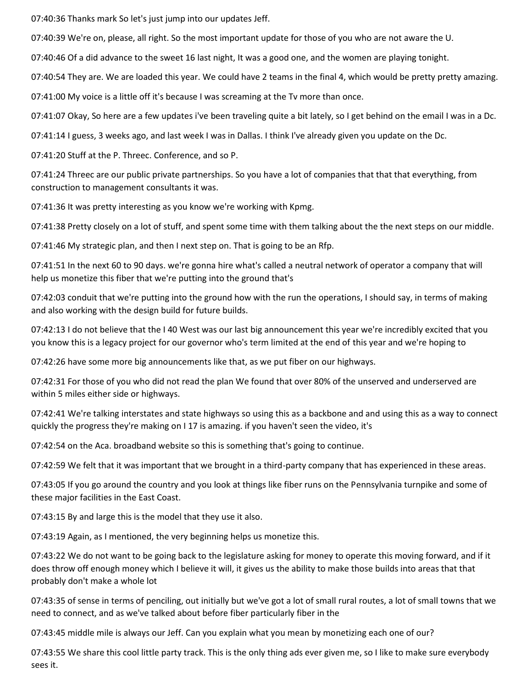07:40:36 Thanks mark So let's just jump into our updates Jeff.

07:40:39 We're on, please, all right. So the most important update for those of you who are not aware the U.

07:40:46 Of a did advance to the sweet 16 last night, It was a good one, and the women are playing tonight.

07:40:54 They are. We are loaded this year. We could have 2 teams in the final 4, which would be pretty pretty amazing.

07:41:00 My voice is a little off it's because I was screaming at the Tv more than once.

07:41:07 Okay, So here are a few updates i've been traveling quite a bit lately, so I get behind on the email I was in a Dc.

07:41:14 I guess, 3 weeks ago, and last week I was in Dallas. I think I've already given you update on the Dc.

07:41:20 Stuff at the P. Threec. Conference, and so P.

07:41:24 Threec are our public private partnerships. So you have a lot of companies that that that everything, from construction to management consultants it was.

07:41:36 It was pretty interesting as you know we're working with Kpmg.

07:41:38 Pretty closely on a lot of stuff, and spent some time with them talking about the the next steps on our middle.

07:41:46 My strategic plan, and then I next step on. That is going to be an Rfp.

07:41:51 In the next 60 to 90 days. we're gonna hire what's called a neutral network of operator a company that will help us monetize this fiber that we're putting into the ground that's

07:42:03 conduit that we're putting into the ground how with the run the operations, I should say, in terms of making and also working with the design build for future builds.

07:42:13 I do not believe that the I 40 West was our last big announcement this year we're incredibly excited that you you know this is a legacy project for our governor who's term limited at the end of this year and we're hoping to

07:42:26 have some more big announcements like that, as we put fiber on our highways.

07:42:31 For those of you who did not read the plan We found that over 80% of the unserved and underserved are within 5 miles either side or highways.

07:42:41 We're talking interstates and state highways so using this as a backbone and and using this as a way to connect quickly the progress they're making on I 17 is amazing. if you haven't seen the video, it's

07:42:54 on the Aca. broadband website so this is something that's going to continue.

07:42:59 We felt that it was important that we brought in a third-party company that has experienced in these areas.

07:43:05 If you go around the country and you look at things like fiber runs on the Pennsylvania turnpike and some of these major facilities in the East Coast.

07:43:15 By and large this is the model that they use it also.

07:43:19 Again, as I mentioned, the very beginning helps us monetize this.

07:43:22 We do not want to be going back to the legislature asking for money to operate this moving forward, and if it does throw off enough money which I believe it will, it gives us the ability to make those builds into areas that that probably don't make a whole lot

07:43:35 of sense in terms of penciling, out initially but we've got a lot of small rural routes, a lot of small towns that we need to connect, and as we've talked about before fiber particularly fiber in the

07:43:45 middle mile is always our Jeff. Can you explain what you mean by monetizing each one of our?

07:43:55 We share this cool little party track. This is the only thing ads ever given me, so I like to make sure everybody sees it.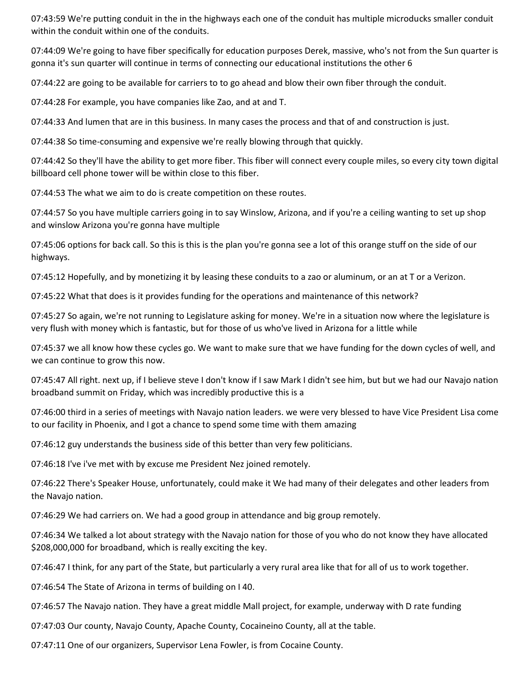07:43:59 We're putting conduit in the in the highways each one of the conduit has multiple microducks smaller conduit within the conduit within one of the conduits.

07:44:09 We're going to have fiber specifically for education purposes Derek, massive, who's not from the Sun quarter is gonna it's sun quarter will continue in terms of connecting our educational institutions the other 6

07:44:22 are going to be available for carriers to to go ahead and blow their own fiber through the conduit.

07:44:28 For example, you have companies like Zao, and at and T.

07:44:33 And lumen that are in this business. In many cases the process and that of and construction is just.

07:44:38 So time-consuming and expensive we're really blowing through that quickly.

07:44:42 So they'll have the ability to get more fiber. This fiber will connect every couple miles, so every city town digital billboard cell phone tower will be within close to this fiber.

07:44:53 The what we aim to do is create competition on these routes.

07:44:57 So you have multiple carriers going in to say Winslow, Arizona, and if you're a ceiling wanting to set up shop and winslow Arizona you're gonna have multiple

07:45:06 options for back call. So this is this is the plan you're gonna see a lot of this orange stuff on the side of our highways.

07:45:12 Hopefully, and by monetizing it by leasing these conduits to a zao or aluminum, or an at T or a Verizon.

07:45:22 What that does is it provides funding for the operations and maintenance of this network?

07:45:27 So again, we're not running to Legislature asking for money. We're in a situation now where the legislature is very flush with money which is fantastic, but for those of us who've lived in Arizona for a little while

07:45:37 we all know how these cycles go. We want to make sure that we have funding for the down cycles of well, and we can continue to grow this now.

07:45:47 All right. next up, if I believe steve I don't know if I saw Mark I didn't see him, but but we had our Navajo nation broadband summit on Friday, which was incredibly productive this is a

07:46:00 third in a series of meetings with Navajo nation leaders. we were very blessed to have Vice President Lisa come to our facility in Phoenix, and I got a chance to spend some time with them amazing

07:46:12 guy understands the business side of this better than very few politicians.

07:46:18 I've i've met with by excuse me President Nez joined remotely.

07:46:22 There's Speaker House, unfortunately, could make it We had many of their delegates and other leaders from the Navajo nation.

07:46:29 We had carriers on. We had a good group in attendance and big group remotely.

07:46:34 We talked a lot about strategy with the Navajo nation for those of you who do not know they have allocated \$208,000,000 for broadband, which is really exciting the key.

07:46:47 I think, for any part of the State, but particularly a very rural area like that for all of us to work together.

07:46:54 The State of Arizona in terms of building on I 40.

07:46:57 The Navajo nation. They have a great middle Mall project, for example, underway with D rate funding

07:47:03 Our county, Navajo County, Apache County, Cocaineino County, all at the table.

07:47:11 One of our organizers, Supervisor Lena Fowler, is from Cocaine County.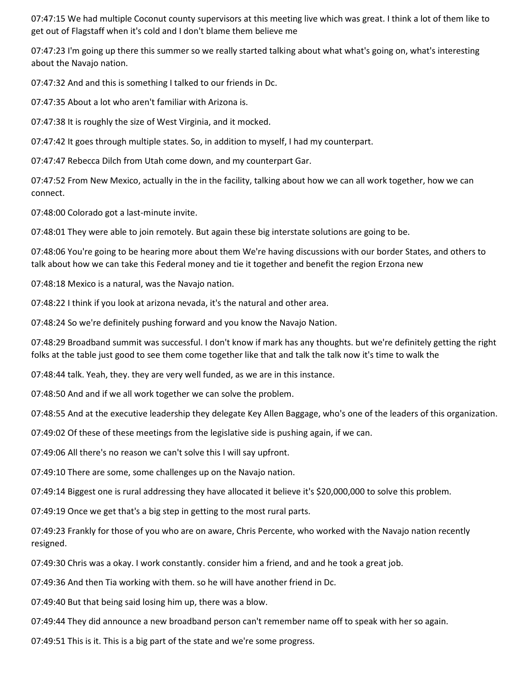07:47:15 We had multiple Coconut county supervisors at this meeting live which was great. I think a lot of them like to get out of Flagstaff when it's cold and I don't blame them believe me

07:47:23 I'm going up there this summer so we really started talking about what what's going on, what's interesting about the Navajo nation.

07:47:32 And and this is something I talked to our friends in Dc.

07:47:35 About a lot who aren't familiar with Arizona is.

07:47:38 It is roughly the size of West Virginia, and it mocked.

07:47:42 It goes through multiple states. So, in addition to myself, I had my counterpart.

07:47:47 Rebecca Dilch from Utah come down, and my counterpart Gar.

07:47:52 From New Mexico, actually in the in the facility, talking about how we can all work together, how we can connect.

07:48:00 Colorado got a last-minute invite.

07:48:01 They were able to join remotely. But again these big interstate solutions are going to be.

07:48:06 You're going to be hearing more about them We're having discussions with our border States, and others to talk about how we can take this Federal money and tie it together and benefit the region Erzona new

07:48:18 Mexico is a natural, was the Navajo nation.

07:48:22 I think if you look at arizona nevada, it's the natural and other area.

07:48:24 So we're definitely pushing forward and you know the Navajo Nation.

07:48:29 Broadband summit was successful. I don't know if mark has any thoughts. but we're definitely getting the right folks at the table just good to see them come together like that and talk the talk now it's time to walk the

07:48:44 talk. Yeah, they. they are very well funded, as we are in this instance.

07:48:50 And and if we all work together we can solve the problem.

07:48:55 And at the executive leadership they delegate Key Allen Baggage, who's one of the leaders of this organization.

07:49:02 Of these of these meetings from the legislative side is pushing again, if we can.

07:49:06 All there's no reason we can't solve this I will say upfront.

07:49:10 There are some, some challenges up on the Navajo nation.

07:49:14 Biggest one is rural addressing they have allocated it believe it's \$20,000,000 to solve this problem.

07:49:19 Once we get that's a big step in getting to the most rural parts.

07:49:23 Frankly for those of you who are on aware, Chris Percente, who worked with the Navajo nation recently resigned.

07:49:30 Chris was a okay. I work constantly. consider him a friend, and and he took a great job.

07:49:36 And then Tia working with them. so he will have another friend in Dc.

07:49:40 But that being said losing him up, there was a blow.

07:49:44 They did announce a new broadband person can't remember name off to speak with her so again.

07:49:51 This is it. This is a big part of the state and we're some progress.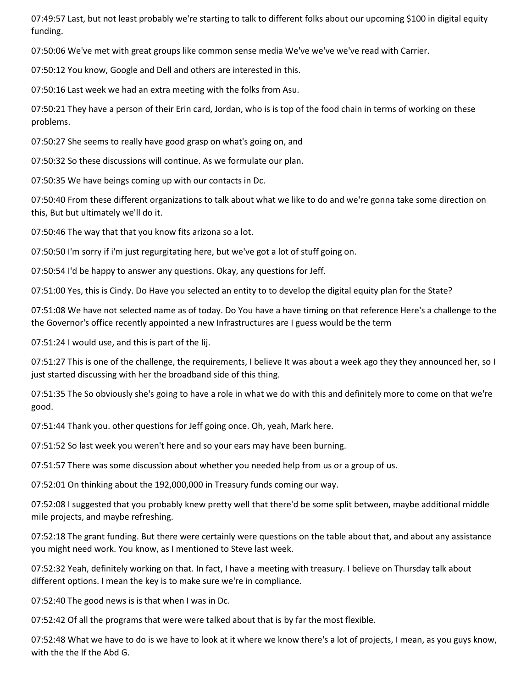07:49:57 Last, but not least probably we're starting to talk to different folks about our upcoming \$100 in digital equity funding.

07:50:06 We've met with great groups like common sense media We've we've we've read with Carrier.

07:50:12 You know, Google and Dell and others are interested in this.

07:50:16 Last week we had an extra meeting with the folks from Asu.

07:50:21 They have a person of their Erin card, Jordan, who is is top of the food chain in terms of working on these problems.

07:50:27 She seems to really have good grasp on what's going on, and

07:50:32 So these discussions will continue. As we formulate our plan.

07:50:35 We have beings coming up with our contacts in Dc.

07:50:40 From these different organizations to talk about what we like to do and we're gonna take some direction on this, But but ultimately we'll do it.

07:50:46 The way that that you know fits arizona so a lot.

07:50:50 I'm sorry if i'm just regurgitating here, but we've got a lot of stuff going on.

07:50:54 I'd be happy to answer any questions. Okay, any questions for Jeff.

07:51:00 Yes, this is Cindy. Do Have you selected an entity to to develop the digital equity plan for the State?

07:51:08 We have not selected name as of today. Do You have a have timing on that reference Here's a challenge to the the Governor's office recently appointed a new Infrastructures are I guess would be the term

07:51:24 I would use, and this is part of the Iij.

07:51:27 This is one of the challenge, the requirements, I believe It was about a week ago they they announced her, so I just started discussing with her the broadband side of this thing.

07:51:35 The So obviously she's going to have a role in what we do with this and definitely more to come on that we're good.

07:51:44 Thank you. other questions for Jeff going once. Oh, yeah, Mark here.

07:51:52 So last week you weren't here and so your ears may have been burning.

07:51:57 There was some discussion about whether you needed help from us or a group of us.

07:52:01 On thinking about the 192,000,000 in Treasury funds coming our way.

07:52:08 I suggested that you probably knew pretty well that there'd be some split between, maybe additional middle mile projects, and maybe refreshing.

07:52:18 The grant funding. But there were certainly were questions on the table about that, and about any assistance you might need work. You know, as I mentioned to Steve last week.

07:52:32 Yeah, definitely working on that. In fact, I have a meeting with treasury. I believe on Thursday talk about different options. I mean the key is to make sure we're in compliance.

07:52:40 The good news is is that when I was in Dc.

07:52:42 Of all the programs that were were talked about that is by far the most flexible.

07:52:48 What we have to do is we have to look at it where we know there's a lot of projects, I mean, as you guys know, with the the If the Abd G.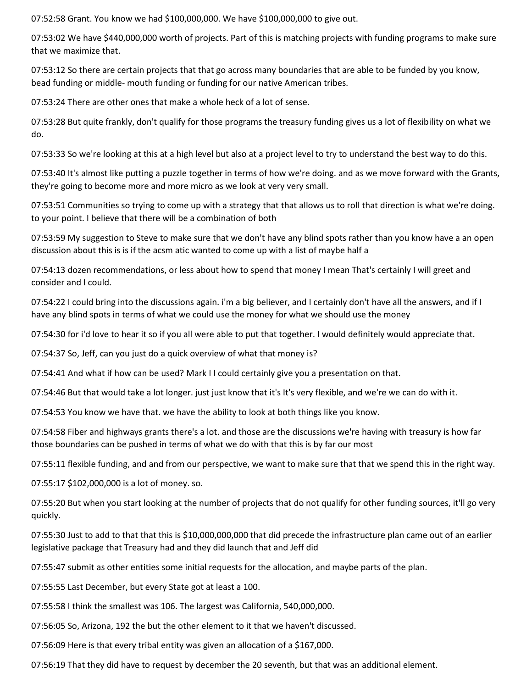07:52:58 Grant. You know we had \$100,000,000. We have \$100,000,000 to give out.

07:53:02 We have \$440,000,000 worth of projects. Part of this is matching projects with funding programs to make sure that we maximize that.

07:53:12 So there are certain projects that that go across many boundaries that are able to be funded by you know, bead funding or middle- mouth funding or funding for our native American tribes.

07:53:24 There are other ones that make a whole heck of a lot of sense.

07:53:28 But quite frankly, don't qualify for those programs the treasury funding gives us a lot of flexibility on what we do.

07:53:33 So we're looking at this at a high level but also at a project level to try to understand the best way to do this.

07:53:40 It's almost like putting a puzzle together in terms of how we're doing. and as we move forward with the Grants, they're going to become more and more micro as we look at very very small.

07:53:51 Communities so trying to come up with a strategy that that allows us to roll that direction is what we're doing. to your point. I believe that there will be a combination of both

07:53:59 My suggestion to Steve to make sure that we don't have any blind spots rather than you know have a an open discussion about this is is if the acsm atic wanted to come up with a list of maybe half a

07:54:13 dozen recommendations, or less about how to spend that money I mean That's certainly I will greet and consider and I could.

07:54:22 I could bring into the discussions again. i'm a big believer, and I certainly don't have all the answers, and if I have any blind spots in terms of what we could use the money for what we should use the money

07:54:30 for i'd love to hear it so if you all were able to put that together. I would definitely would appreciate that.

07:54:37 So, Jeff, can you just do a quick overview of what that money is?

07:54:41 And what if how can be used? Mark I I could certainly give you a presentation on that.

07:54:46 But that would take a lot longer. just just know that it's It's very flexible, and we're we can do with it.

07:54:53 You know we have that. we have the ability to look at both things like you know.

07:54:58 Fiber and highways grants there's a lot. and those are the discussions we're having with treasury is how far those boundaries can be pushed in terms of what we do with that this is by far our most

07:55:11 flexible funding, and and from our perspective, we want to make sure that that we spend this in the right way.

07:55:17 \$102,000,000 is a lot of money. so.

07:55:20 But when you start looking at the number of projects that do not qualify for other funding sources, it'll go very quickly.

07:55:30 Just to add to that that this is \$10,000,000,000 that did precede the infrastructure plan came out of an earlier legislative package that Treasury had and they did launch that and Jeff did

07:55:47 submit as other entities some initial requests for the allocation, and maybe parts of the plan.

07:55:55 Last December, but every State got at least a 100.

07:55:58 I think the smallest was 106. The largest was California, 540,000,000.

07:56:05 So, Arizona, 192 the but the other element to it that we haven't discussed.

07:56:09 Here is that every tribal entity was given an allocation of a \$167,000.

07:56:19 That they did have to request by december the 20 seventh, but that was an additional element.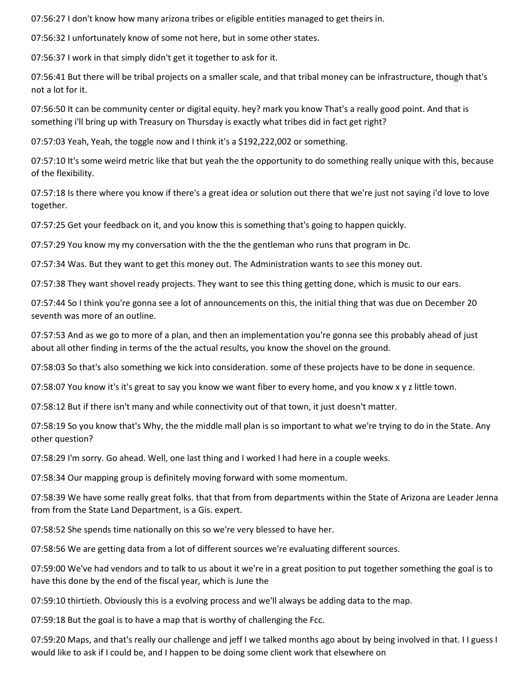07:56:27 I don't know how many arizona tribes or eligible entities managed to get theirs in.

07:56:32 I unfortunately know of some not here, but in some other states.

07:56:37 I work in that simply didn't get it together to ask for it.

07:56:41 But there will be tribal projects on a smaller scale, and that tribal money can be infrastructure, though that's not a lot for it.

07:56:50 It can be community center or digital equity. hey? mark you know That's a really good point. And that is something i'll bring up with Treasury on Thursday is exactly what tribes did in fact get right?

07:57:03 Yeah, Yeah, the toggle now and I think it's a \$192,222,002 or something.

07:57:10 It's some weird metric like that but yeah the the opportunity to do something really unique with this, because of the flexibility.

07:57:18 Is there where you know if there's a great idea or solution out there that we're just not saying i'd love to love together.

07:57:25 Get your feedback on it, and you know this is something that's going to happen quickly.

07:57:29 You know my my conversation with the the the gentleman who runs that program in Dc.

07:57:34 Was. But they want to get this money out. The Administration wants to see this money out.

07:57:38 They want shovel ready projects. They want to see this thing getting done, which is music to our ears.

07:57:44 So I think you're gonna see a lot of announcements on this, the initial thing that was due on December 20 seventh was more of an outline.

07:57:53 And as we go to more of a plan, and then an implementation you're gonna see this probably ahead of just about all other finding in terms of the the actual results, you know the shovel on the ground.

07:58:03 So that's also something we kick into consideration. some of these projects have to be done in sequence.

07:58:07 You know it's it's great to say you know we want fiber to every home, and you know x y z little town.

07:58:12 But if there isn't many and while connectivity out of that town, it just doesn't matter.

07:58:19 So you know that's Why, the the middle mall plan is so important to what we're trying to do in the State. Any other question?

07:58:29 I'm sorry. Go ahead. Well, one last thing and I worked I had here in a couple weeks.

07:58:34 Our mapping group is definitely moving forward with some momentum.

07:58:39 We have some really great folks. that that from from departments within the State of Arizona are Leader Jenna from from the State Land Department, is a Gis. expert.

07:58:52 She spends time nationally on this so we're very blessed to have her.

07:58:56 We are getting data from a lot of different sources we're evaluating different sources.

07:59:00 We've had vendors and to talk to us about it we're in a great position to put together something the goal is to have this done by the end of the fiscal year, which is June the

07:59:10 thirtieth. Obviously this is a evolving process and we'll always be adding data to the map.

07:59:18 But the goal is to have a map that is worthy of challenging the Fcc.

07:59:20 Maps, and that's really our challenge and jeff I we talked months ago about by being involved in that. I I guess I would like to ask if I could be, and I happen to be doing some client work that elsewhere on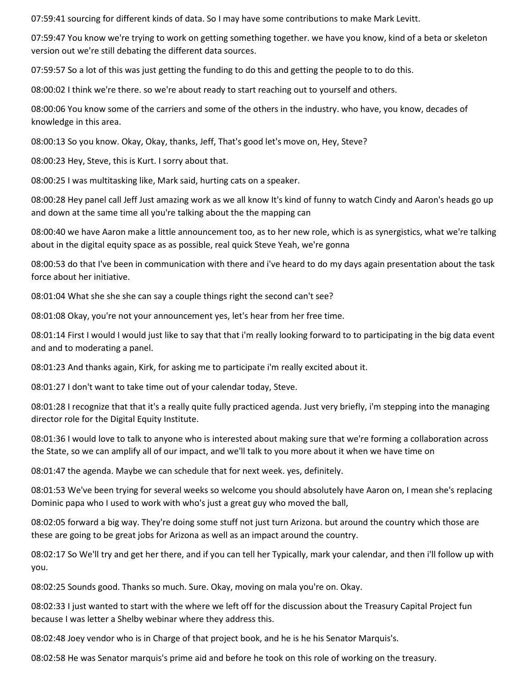07:59:41 sourcing for different kinds of data. So I may have some contributions to make Mark Levitt.

07:59:47 You know we're trying to work on getting something together. we have you know, kind of a beta or skeleton version out we're still debating the different data sources.

07:59:57 So a lot of this was just getting the funding to do this and getting the people to to do this.

08:00:02 I think we're there. so we're about ready to start reaching out to yourself and others.

08:00:06 You know some of the carriers and some of the others in the industry. who have, you know, decades of knowledge in this area.

08:00:13 So you know. Okay, Okay, thanks, Jeff, That's good let's move on, Hey, Steve?

08:00:23 Hey, Steve, this is Kurt. I sorry about that.

08:00:25 I was multitasking like, Mark said, hurting cats on a speaker.

08:00:28 Hey panel call Jeff Just amazing work as we all know It's kind of funny to watch Cindy and Aaron's heads go up and down at the same time all you're talking about the the mapping can

08:00:40 we have Aaron make a little announcement too, as to her new role, which is as synergistics, what we're talking about in the digital equity space as as possible, real quick Steve Yeah, we're gonna

08:00:53 do that I've been in communication with there and i've heard to do my days again presentation about the task force about her initiative.

08:01:04 What she she she can say a couple things right the second can't see?

08:01:08 Okay, you're not your announcement yes, let's hear from her free time.

08:01:14 First I would I would just like to say that that i'm really looking forward to to participating in the big data event and and to moderating a panel.

08:01:23 And thanks again, Kirk, for asking me to participate i'm really excited about it.

08:01:27 I don't want to take time out of your calendar today, Steve.

08:01:28 I recognize that that it's a really quite fully practiced agenda. Just very briefly, i'm stepping into the managing director role for the Digital Equity Institute.

08:01:36 I would love to talk to anyone who is interested about making sure that we're forming a collaboration across the State, so we can amplify all of our impact, and we'll talk to you more about it when we have time on

08:01:47 the agenda. Maybe we can schedule that for next week. yes, definitely.

08:01:53 We've been trying for several weeks so welcome you should absolutely have Aaron on, I mean she's replacing Dominic papa who I used to work with who's just a great guy who moved the ball,

08:02:05 forward a big way. They're doing some stuff not just turn Arizona. but around the country which those are these are going to be great jobs for Arizona as well as an impact around the country.

08:02:17 So We'll try and get her there, and if you can tell her Typically, mark your calendar, and then i'll follow up with you.

08:02:25 Sounds good. Thanks so much. Sure. Okay, moving on mala you're on. Okay.

08:02:33 I just wanted to start with the where we left off for the discussion about the Treasury Capital Project fun because I was letter a Shelby webinar where they address this.

08:02:48 Joey vendor who is in Charge of that project book, and he is he his Senator Marquis's.

08:02:58 He was Senator marquis's prime aid and before he took on this role of working on the treasury.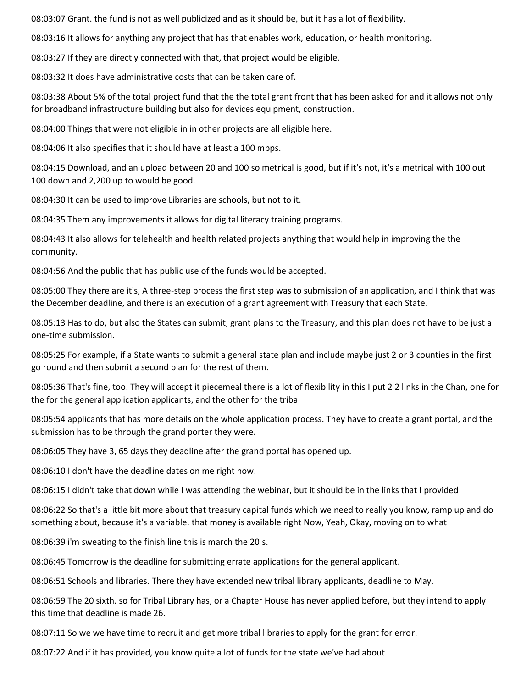08:03:07 Grant. the fund is not as well publicized and as it should be, but it has a lot of flexibility.

08:03:16 It allows for anything any project that has that enables work, education, or health monitoring.

08:03:27 If they are directly connected with that, that project would be eligible.

08:03:32 It does have administrative costs that can be taken care of.

08:03:38 About 5% of the total project fund that the the total grant front that has been asked for and it allows not only for broadband infrastructure building but also for devices equipment, construction.

08:04:00 Things that were not eligible in in other projects are all eligible here.

08:04:06 It also specifies that it should have at least a 100 mbps.

08:04:15 Download, and an upload between 20 and 100 so metrical is good, but if it's not, it's a metrical with 100 out 100 down and 2,200 up to would be good.

08:04:30 It can be used to improve Libraries are schools, but not to it.

08:04:35 Them any improvements it allows for digital literacy training programs.

08:04:43 It also allows for telehealth and health related projects anything that would help in improving the the community.

08:04:56 And the public that has public use of the funds would be accepted.

08:05:00 They there are it's, A three-step process the first step was to submission of an application, and I think that was the December deadline, and there is an execution of a grant agreement with Treasury that each State.

08:05:13 Has to do, but also the States can submit, grant plans to the Treasury, and this plan does not have to be just a one-time submission.

08:05:25 For example, if a State wants to submit a general state plan and include maybe just 2 or 3 counties in the first go round and then submit a second plan for the rest of them.

08:05:36 That's fine, too. They will accept it piecemeal there is a lot of flexibility in this I put 2 2 links in the Chan, one for the for the general application applicants, and the other for the tribal

08:05:54 applicants that has more details on the whole application process. They have to create a grant portal, and the submission has to be through the grand porter they were.

08:06:05 They have 3, 65 days they deadline after the grand portal has opened up.

08:06:10 I don't have the deadline dates on me right now.

08:06:15 I didn't take that down while I was attending the webinar, but it should be in the links that I provided

08:06:22 So that's a little bit more about that treasury capital funds which we need to really you know, ramp up and do something about, because it's a variable. that money is available right Now, Yeah, Okay, moving on to what

08:06:39 i'm sweating to the finish line this is march the 20 s.

08:06:45 Tomorrow is the deadline for submitting errate applications for the general applicant.

08:06:51 Schools and libraries. There they have extended new tribal library applicants, deadline to May.

08:06:59 The 20 sixth. so for Tribal Library has, or a Chapter House has never applied before, but they intend to apply this time that deadline is made 26.

08:07:11 So we we have time to recruit and get more tribal libraries to apply for the grant for error.

08:07:22 And if it has provided, you know quite a lot of funds for the state we've had about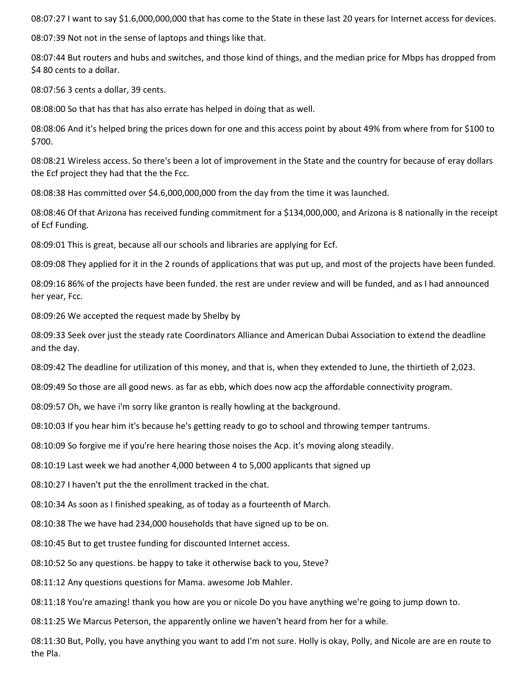08:07:27 I want to say \$1.6,000,000,000 that has come to the State in these last 20 years for Internet access for devices.

08:07:39 Not not in the sense of laptops and things like that.

08:07:44 But routers and hubs and switches, and those kind of things, and the median price for Mbps has dropped from \$4 80 cents to a dollar.

08:07:56 3 cents a dollar, 39 cents.

08:08:00 So that has that has also errate has helped in doing that as well.

08:08:06 And it's helped bring the prices down for one and this access point by about 49% from where from for \$100 to \$700.

08:08:21 Wireless access. So there's been a lot of improvement in the State and the country for because of eray dollars the Ecf project they had that the the Fcc.

08:08:38 Has committed over \$4.6,000,000,000 from the day from the time it was launched.

08:08:46 Of that Arizona has received funding commitment for a \$134,000,000, and Arizona is 8 nationally in the receipt of Ecf Funding.

08:09:01 This is great, because all our schools and libraries are applying for Ecf.

08:09:08 They applied for it in the 2 rounds of applications that was put up, and most of the projects have been funded.

08:09:16 86% of the projects have been funded. the rest are under review and will be funded, and as I had announced her year, Fcc.

08:09:26 We accepted the request made by Shelby by

08:09:33 Seek over just the steady rate Coordinators Alliance and American Dubai Association to extend the deadline and the day.

08:09:42 The deadline for utilization of this money, and that is, when they extended to June, the thirtieth of 2,023.

08:09:49 So those are all good news. as far as ebb, which does now acp the affordable connectivity program.

08:09:57 Oh, we have i'm sorry like granton is really howling at the background.

08:10:03 If you hear him it's because he's getting ready to go to school and throwing temper tantrums.

08:10:09 So forgive me if you're here hearing those noises the Acp. it's moving along steadily.

08:10:19 Last week we had another 4,000 between 4 to 5,000 applicants that signed up

08:10:27 I haven't put the the enrollment tracked in the chat.

08:10:34 As soon as I finished speaking, as of today as a fourteenth of March.

08:10:38 The we have had 234,000 households that have signed up to be on.

08:10:45 But to get trustee funding for discounted Internet access.

08:10:52 So any questions. be happy to take it otherwise back to you, Steve?

08:11:12 Any questions questions for Mama. awesome Job Mahler.

08:11:18 You're amazing! thank you how are you or nicole Do you have anything we're going to jump down to.

08:11:25 We Marcus Peterson, the apparently online we haven't heard from her for a while.

08:11:30 But, Polly, you have anything you want to add I'm not sure. Holly is okay, Polly, and Nicole are are en route to the Pla.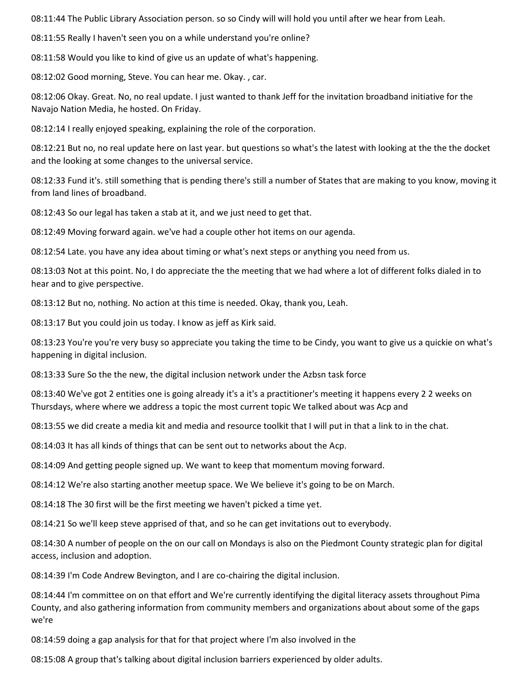08:11:44 The Public Library Association person. so so Cindy will will hold you until after we hear from Leah.

08:11:55 Really I haven't seen you on a while understand you're online?

08:11:58 Would you like to kind of give us an update of what's happening.

08:12:02 Good morning, Steve. You can hear me. Okay. , car.

08:12:06 Okay. Great. No, no real update. I just wanted to thank Jeff for the invitation broadband initiative for the Navajo Nation Media, he hosted. On Friday.

08:12:14 I really enjoyed speaking, explaining the role of the corporation.

08:12:21 But no, no real update here on last year. but questions so what's the latest with looking at the the the docket and the looking at some changes to the universal service.

08:12:33 Fund it's. still something that is pending there's still a number of States that are making to you know, moving it from land lines of broadband.

08:12:43 So our legal has taken a stab at it, and we just need to get that.

08:12:49 Moving forward again. we've had a couple other hot items on our agenda.

08:12:54 Late. you have any idea about timing or what's next steps or anything you need from us.

08:13:03 Not at this point. No, I do appreciate the the meeting that we had where a lot of different folks dialed in to hear and to give perspective.

08:13:12 But no, nothing. No action at this time is needed. Okay, thank you, Leah.

08:13:17 But you could join us today. I know as jeff as Kirk said.

08:13:23 You're you're very busy so appreciate you taking the time to be Cindy, you want to give us a quickie on what's happening in digital inclusion.

08:13:33 Sure So the the new, the digital inclusion network under the Azbsn task force

08:13:40 We've got 2 entities one is going already it's a it's a practitioner's meeting it happens every 2 2 weeks on Thursdays, where where we address a topic the most current topic We talked about was Acp and

08:13:55 we did create a media kit and media and resource toolkit that I will put in that a link to in the chat.

08:14:03 It has all kinds of things that can be sent out to networks about the Acp.

08:14:09 And getting people signed up. We want to keep that momentum moving forward.

08:14:12 We're also starting another meetup space. We We believe it's going to be on March.

08:14:18 The 30 first will be the first meeting we haven't picked a time yet.

08:14:21 So we'll keep steve apprised of that, and so he can get invitations out to everybody.

08:14:30 A number of people on the on our call on Mondays is also on the Piedmont County strategic plan for digital access, inclusion and adoption.

08:14:39 I'm Code Andrew Bevington, and I are co-chairing the digital inclusion.

08:14:44 I'm committee on on that effort and We're currently identifying the digital literacy assets throughout Pima County, and also gathering information from community members and organizations about about some of the gaps we're

08:14:59 doing a gap analysis for that for that project where I'm also involved in the

08:15:08 A group that's talking about digital inclusion barriers experienced by older adults.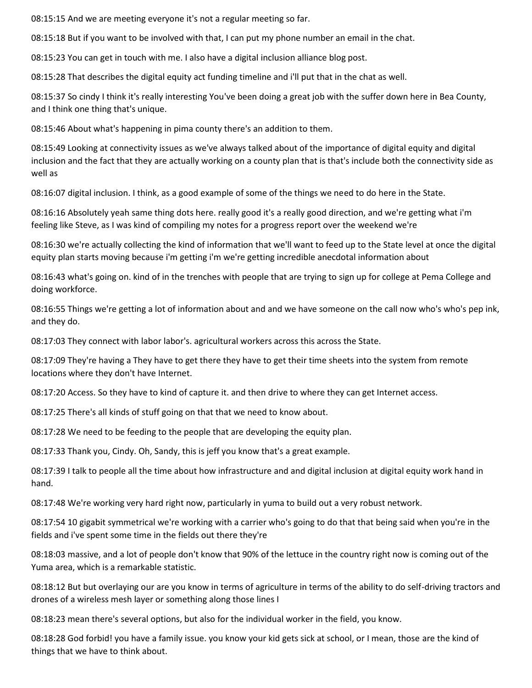08:15:15 And we are meeting everyone it's not a regular meeting so far.

08:15:18 But if you want to be involved with that, I can put my phone number an email in the chat.

08:15:23 You can get in touch with me. I also have a digital inclusion alliance blog post.

08:15:28 That describes the digital equity act funding timeline and i'll put that in the chat as well.

08:15:37 So cindy I think it's really interesting You've been doing a great job with the suffer down here in Bea County, and I think one thing that's unique.

08:15:46 About what's happening in pima county there's an addition to them.

08:15:49 Looking at connectivity issues as we've always talked about of the importance of digital equity and digital inclusion and the fact that they are actually working on a county plan that is that's include both the connectivity side as well as

08:16:07 digital inclusion. I think, as a good example of some of the things we need to do here in the State.

08:16:16 Absolutely yeah same thing dots here. really good it's a really good direction, and we're getting what i'm feeling like Steve, as I was kind of compiling my notes for a progress report over the weekend we're

08:16:30 we're actually collecting the kind of information that we'll want to feed up to the State level at once the digital equity plan starts moving because i'm getting i'm we're getting incredible anecdotal information about

08:16:43 what's going on. kind of in the trenches with people that are trying to sign up for college at Pema College and doing workforce.

08:16:55 Things we're getting a lot of information about and and we have someone on the call now who's who's pep ink, and they do.

08:17:03 They connect with labor labor's. agricultural workers across this across the State.

08:17:09 They're having a They have to get there they have to get their time sheets into the system from remote locations where they don't have Internet.

08:17:20 Access. So they have to kind of capture it. and then drive to where they can get Internet access.

08:17:25 There's all kinds of stuff going on that that we need to know about.

08:17:28 We need to be feeding to the people that are developing the equity plan.

08:17:33 Thank you, Cindy. Oh, Sandy, this is jeff you know that's a great example.

08:17:39 I talk to people all the time about how infrastructure and and digital inclusion at digital equity work hand in hand.

08:17:48 We're working very hard right now, particularly in yuma to build out a very robust network.

08:17:54 10 gigabit symmetrical we're working with a carrier who's going to do that that being said when you're in the fields and i've spent some time in the fields out there they're

08:18:03 massive, and a lot of people don't know that 90% of the lettuce in the country right now is coming out of the Yuma area, which is a remarkable statistic.

08:18:12 But but overlaying our are you know in terms of agriculture in terms of the ability to do self-driving tractors and drones of a wireless mesh layer or something along those lines I

08:18:23 mean there's several options, but also for the individual worker in the field, you know.

08:18:28 God forbid! you have a family issue. you know your kid gets sick at school, or I mean, those are the kind of things that we have to think about.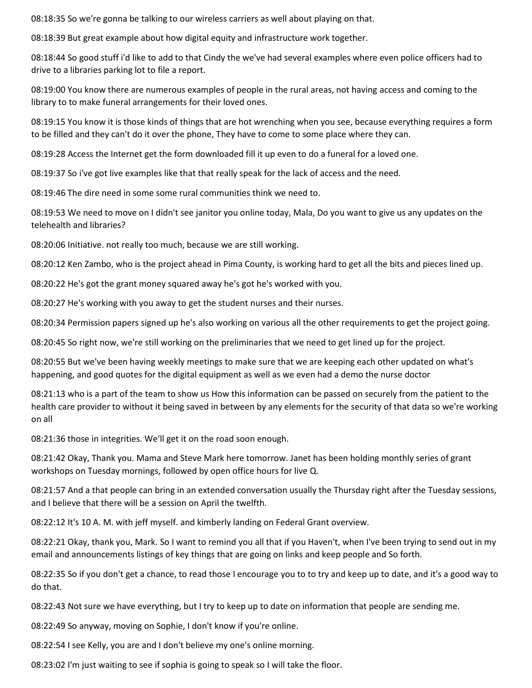08:18:35 So we're gonna be talking to our wireless carriers as well about playing on that.

08:18:39 But great example about how digital equity and infrastructure work together.

08:18:44 So good stuff i'd like to add to that Cindy the we've had several examples where even police officers had to drive to a libraries parking lot to file a report.

08:19:00 You know there are numerous examples of people in the rural areas, not having access and coming to the library to to make funeral arrangements for their loved ones.

08:19:15 You know it is those kinds of things that are hot wrenching when you see, because everything requires a form to be filled and they can't do it over the phone, They have to come to some place where they can.

08:19:28 Access the Internet get the form downloaded fill it up even to do a funeral for a loved one.

08:19:37 So i've got live examples like that that really speak for the lack of access and the need.

08:19:46 The dire need in some some rural communities think we need to.

08:19:53 We need to move on I didn't see janitor you online today, Mala, Do you want to give us any updates on the telehealth and libraries?

08:20:06 Initiative. not really too much, because we are still working.

08:20:12 Ken Zambo, who is the project ahead in Pima County, is working hard to get all the bits and pieces lined up.

08:20:22 He's got the grant money squared away he's got he's worked with you.

08:20:27 He's working with you away to get the student nurses and their nurses.

08:20:34 Permission papers signed up he's also working on various all the other requirements to get the project going.

08:20:45 So right now, we're still working on the preliminaries that we need to get lined up for the project.

08:20:55 But we've been having weekly meetings to make sure that we are keeping each other updated on what's happening, and good quotes for the digital equipment as well as we even had a demo the nurse doctor

08:21:13 who is a part of the team to show us How this information can be passed on securely from the patient to the health care provider to without it being saved in between by any elements for the security of that data so we're working on all

08:21:36 those in integrities. We'll get it on the road soon enough.

08:21:42 Okay, Thank you. Mama and Steve Mark here tomorrow. Janet has been holding monthly series of grant workshops on Tuesday mornings, followed by open office hours for live Q.

08:21:57 And a that people can bring in an extended conversation usually the Thursday right after the Tuesday sessions, and I believe that there will be a session on April the twelfth.

08:22:12 It's 10 A. M. with jeff myself. and kimberly landing on Federal Grant overview.

08:22:21 Okay, thank you, Mark. So I want to remind you all that if you Haven't, when I've been trying to send out in my email and announcements listings of key things that are going on links and keep people and So forth.

08:22:35 So if you don't get a chance, to read those I encourage you to to try and keep up to date, and it's a good way to do that.

08:22:43 Not sure we have everything, but I try to keep up to date on information that people are sending me.

08:22:49 So anyway, moving on Sophie, I don't know if you're online.

08:22:54 I see Kelly, you are and I don't believe my one's online morning.

08:23:02 I'm just waiting to see if sophia is going to speak so I will take the floor.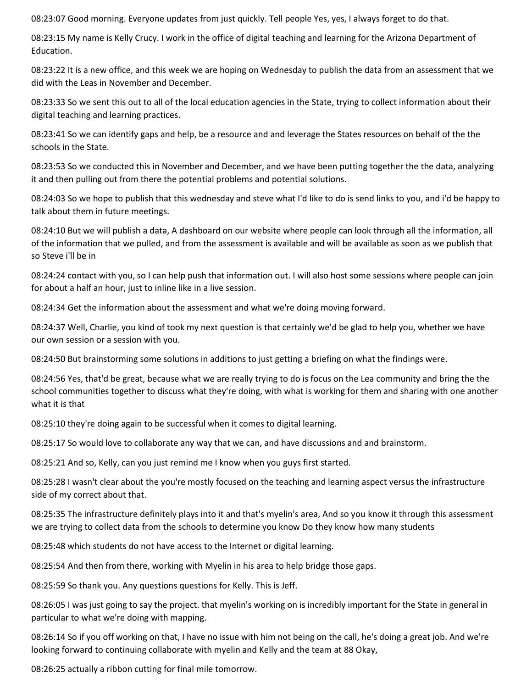08:23:07 Good morning. Everyone updates from just quickly. Tell people Yes, yes, I always forget to do that.

08:23:15 My name is Kelly Crucy. I work in the office of digital teaching and learning for the Arizona Department of Education.

08:23:22 It is a new office, and this week we are hoping on Wednesday to publish the data from an assessment that we did with the Leas in November and December.

08:23:33 So we sent this out to all of the local education agencies in the State, trying to collect information about their digital teaching and learning practices.

08:23:41 So we can identify gaps and help, be a resource and and leverage the States resources on behalf of the the schools in the State.

08:23:53 So we conducted this in November and December, and we have been putting together the the data, analyzing it and then pulling out from there the potential problems and potential solutions.

08:24:03 So we hope to publish that this wednesday and steve what I'd like to do is send links to you, and i'd be happy to talk about them in future meetings.

08:24:10 But we will publish a data, A dashboard on our website where people can look through all the information, all of the information that we pulled, and from the assessment is available and will be available as soon as we publish that so Steve i'll be in

08:24:24 contact with you, so I can help push that information out. I will also host some sessions where people can join for about a half an hour, just to inline like in a live session.

08:24:34 Get the information about the assessment and what we're doing moving forward.

08:24:37 Well, Charlie, you kind of took my next question is that certainly we'd be glad to help you, whether we have our own session or a session with you.

08:24:50 But brainstorming some solutions in additions to just getting a briefing on what the findings were.

08:24:56 Yes, that'd be great, because what we are really trying to do is focus on the Lea community and bring the the school communities together to discuss what they're doing, with what is working for them and sharing with one another what it is that

08:25:10 they're doing again to be successful when it comes to digital learning.

08:25:17 So would love to collaborate any way that we can, and have discussions and and brainstorm.

08:25:21 And so, Kelly, can you just remind me I know when you guys first started.

08:25:28 I wasn't clear about the you're mostly focused on the teaching and learning aspect versus the infrastructure side of my correct about that.

08:25:35 The infrastructure definitely plays into it and that's myelin's area, And so you know it through this assessment we are trying to collect data from the schools to determine you know Do they know how many students

08:25:48 which students do not have access to the Internet or digital learning.

08:25:54 And then from there, working with Myelin in his area to help bridge those gaps.

08:25:59 So thank you. Any questions questions for Kelly. This is Jeff.

08:26:05 I was just going to say the project. that myelin's working on is incredibly important for the State in general in particular to what we're doing with mapping.

08:26:14 So if you off working on that, I have no issue with him not being on the call, he's doing a great job. And we're looking forward to continuing collaborate with myelin and Kelly and the team at 88 Okay,

08:26:25 actually a ribbon cutting for final mile tomorrow.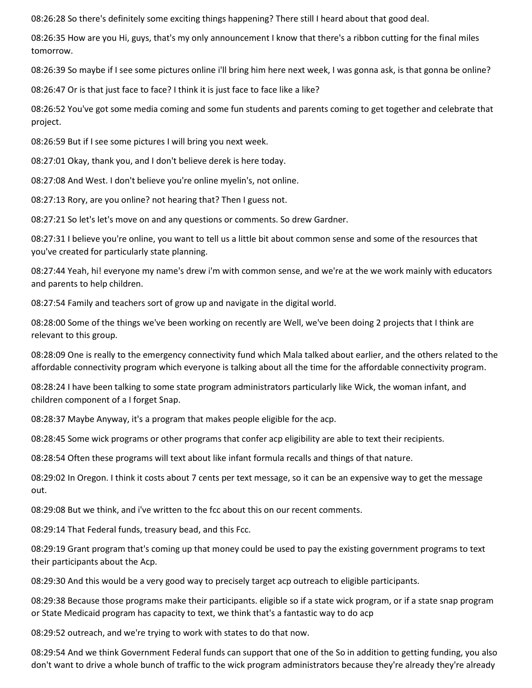08:26:28 So there's definitely some exciting things happening? There still I heard about that good deal.

08:26:35 How are you Hi, guys, that's my only announcement I know that there's a ribbon cutting for the final miles tomorrow.

08:26:39 So maybe if I see some pictures online i'll bring him here next week, I was gonna ask, is that gonna be online?

08:26:47 Or is that just face to face? I think it is just face to face like a like?

08:26:52 You've got some media coming and some fun students and parents coming to get together and celebrate that project.

08:26:59 But if I see some pictures I will bring you next week.

08:27:01 Okay, thank you, and I don't believe derek is here today.

08:27:08 And West. I don't believe you're online myelin's, not online.

08:27:13 Rory, are you online? not hearing that? Then I guess not.

08:27:21 So let's let's move on and any questions or comments. So drew Gardner.

08:27:31 I believe you're online, you want to tell us a little bit about common sense and some of the resources that you've created for particularly state planning.

08:27:44 Yeah, hi! everyone my name's drew i'm with common sense, and we're at the we work mainly with educators and parents to help children.

08:27:54 Family and teachers sort of grow up and navigate in the digital world.

08:28:00 Some of the things we've been working on recently are Well, we've been doing 2 projects that I think are relevant to this group.

08:28:09 One is really to the emergency connectivity fund which Mala talked about earlier, and the others related to the affordable connectivity program which everyone is talking about all the time for the affordable connectivity program.

08:28:24 I have been talking to some state program administrators particularly like Wick, the woman infant, and children component of a I forget Snap.

08:28:37 Maybe Anyway, it's a program that makes people eligible for the acp.

08:28:45 Some wick programs or other programs that confer acp eligibility are able to text their recipients.

08:28:54 Often these programs will text about like infant formula recalls and things of that nature.

08:29:02 In Oregon. I think it costs about 7 cents per text message, so it can be an expensive way to get the message out.

08:29:08 But we think, and i've written to the fcc about this on our recent comments.

08:29:14 That Federal funds, treasury bead, and this Fcc.

08:29:19 Grant program that's coming up that money could be used to pay the existing government programs to text their participants about the Acp.

08:29:30 And this would be a very good way to precisely target acp outreach to eligible participants.

08:29:38 Because those programs make their participants. eligible so if a state wick program, or if a state snap program or State Medicaid program has capacity to text, we think that's a fantastic way to do acp

08:29:52 outreach, and we're trying to work with states to do that now.

08:29:54 And we think Government Federal funds can support that one of the So in addition to getting funding, you also don't want to drive a whole bunch of traffic to the wick program administrators because they're already they're already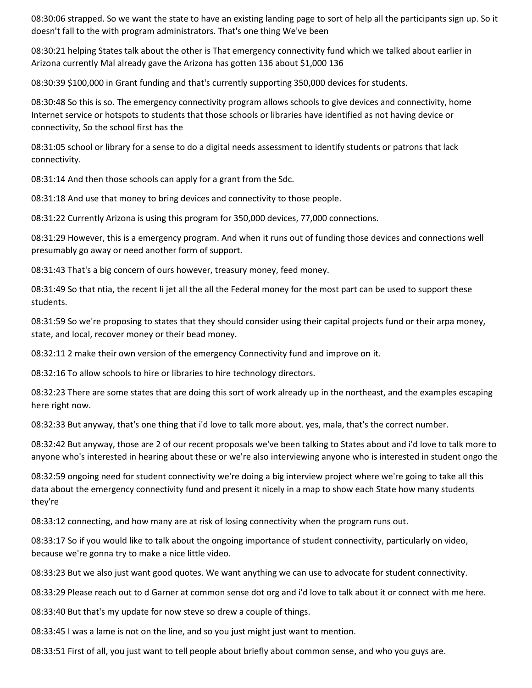08:30:06 strapped. So we want the state to have an existing landing page to sort of help all the participants sign up. So it doesn't fall to the with program administrators. That's one thing We've been

08:30:21 helping States talk about the other is That emergency connectivity fund which we talked about earlier in Arizona currently Mal already gave the Arizona has gotten 136 about \$1,000 136

08:30:39 \$100,000 in Grant funding and that's currently supporting 350,000 devices for students.

08:30:48 So this is so. The emergency connectivity program allows schools to give devices and connectivity, home Internet service or hotspots to students that those schools or libraries have identified as not having device or connectivity, So the school first has the

08:31:05 school or library for a sense to do a digital needs assessment to identify students or patrons that lack connectivity.

08:31:14 And then those schools can apply for a grant from the Sdc.

08:31:18 And use that money to bring devices and connectivity to those people.

08:31:22 Currently Arizona is using this program for 350,000 devices, 77,000 connections.

08:31:29 However, this is a emergency program. And when it runs out of funding those devices and connections well presumably go away or need another form of support.

08:31:43 That's a big concern of ours however, treasury money, feed money.

08:31:49 So that ntia, the recent Ii jet all the all the Federal money for the most part can be used to support these students.

08:31:59 So we're proposing to states that they should consider using their capital projects fund or their arpa money, state, and local, recover money or their bead money.

08:32:11 2 make their own version of the emergency Connectivity fund and improve on it.

08:32:16 To allow schools to hire or libraries to hire technology directors.

08:32:23 There are some states that are doing this sort of work already up in the northeast, and the examples escaping here right now.

08:32:33 But anyway, that's one thing that i'd love to talk more about. yes, mala, that's the correct number.

08:32:42 But anyway, those are 2 of our recent proposals we've been talking to States about and i'd love to talk more to anyone who's interested in hearing about these or we're also interviewing anyone who is interested in student ongo the

08:32:59 ongoing need for student connectivity we're doing a big interview project where we're going to take all this data about the emergency connectivity fund and present it nicely in a map to show each State how many students they're

08:33:12 connecting, and how many are at risk of losing connectivity when the program runs out.

08:33:17 So if you would like to talk about the ongoing importance of student connectivity, particularly on video, because we're gonna try to make a nice little video.

08:33:23 But we also just want good quotes. We want anything we can use to advocate for student connectivity.

08:33:29 Please reach out to d Garner at common sense dot org and i'd love to talk about it or connect with me here.

08:33:40 But that's my update for now steve so drew a couple of things.

08:33:45 I was a lame is not on the line, and so you just might just want to mention.

08:33:51 First of all, you just want to tell people about briefly about common sense, and who you guys are.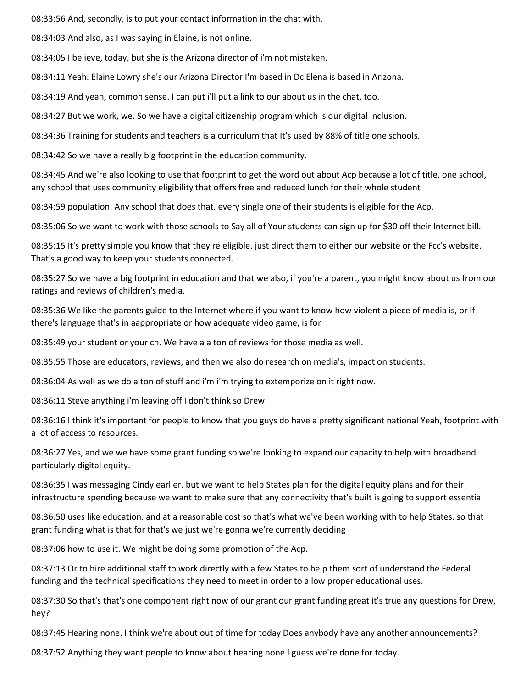08:33:56 And, secondly, is to put your contact information in the chat with.

08:34:03 And also, as I was saying in Elaine, is not online.

08:34:05 I believe, today, but she is the Arizona director of i'm not mistaken.

08:34:11 Yeah. Elaine Lowry she's our Arizona Director I'm based in Dc Elena is based in Arizona.

08:34:19 And yeah, common sense. I can put i'll put a link to our about us in the chat, too.

08:34:27 But we work, we. So we have a digital citizenship program which is our digital inclusion.

08:34:36 Training for students and teachers is a curriculum that It's used by 88% of title one schools.

08:34:42 So we have a really big footprint in the education community.

08:34:45 And we're also looking to use that footprint to get the word out about Acp because a lot of title, one school, any school that uses community eligibility that offers free and reduced lunch for their whole student

08:34:59 population. Any school that does that. every single one of their students is eligible for the Acp.

08:35:06 So we want to work with those schools to Say all of Your students can sign up for \$30 off their Internet bill.

08:35:15 It's pretty simple you know that they're eligible. just direct them to either our website or the Fcc's website. That's a good way to keep your students connected.

08:35:27 So we have a big footprint in education and that we also, if you're a parent, you might know about us from our ratings and reviews of children's media.

08:35:36 We like the parents guide to the Internet where if you want to know how violent a piece of media is, or if there's language that's in aappropriate or how adequate video game, is for

08:35:49 your student or your ch. We have a a ton of reviews for those media as well.

08:35:55 Those are educators, reviews, and then we also do research on media's, impact on students.

08:36:04 As well as we do a ton of stuff and i'm i'm trying to extemporize on it right now.

08:36:11 Steve anything i'm leaving off I don't think so Drew.

08:36:16 I think it's important for people to know that you guys do have a pretty significant national Yeah, footprint with a lot of access to resources.

08:36:27 Yes, and we we have some grant funding so we're looking to expand our capacity to help with broadband particularly digital equity.

08:36:35 I was messaging Cindy earlier. but we want to help States plan for the digital equity plans and for their infrastructure spending because we want to make sure that any connectivity that's built is going to support essential

08:36:50 uses like education. and at a reasonable cost so that's what we've been working with to help States. so that grant funding what is that for that's we just we're gonna we're currently deciding

08:37:06 how to use it. We might be doing some promotion of the Acp.

08:37:13 Or to hire additional staff to work directly with a few States to help them sort of understand the Federal funding and the technical specifications they need to meet in order to allow proper educational uses.

08:37:30 So that's that's one component right now of our grant our grant funding great it's true any questions for Drew, hey?

08:37:45 Hearing none. I think we're about out of time for today Does anybody have any another announcements?

08:37:52 Anything they want people to know about hearing none I guess we're done for today.